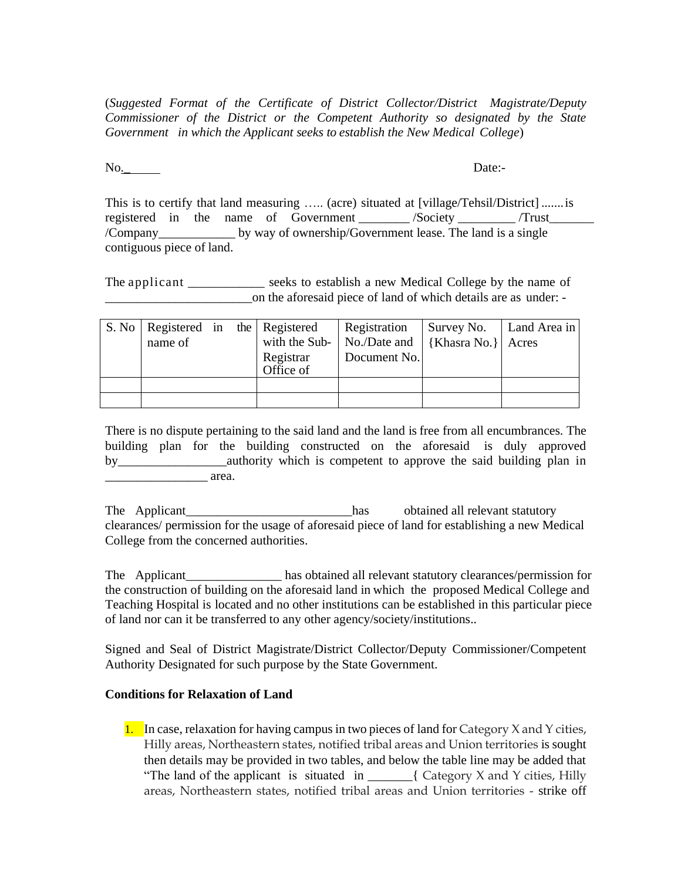(*Suggested Format of the Certificate of District Collector/District Magistrate/Deputy Commissioner of the District or the Competent Authority so designated by the State Government in which the Applicant seeks to establish the New Medical College*)

No. Date:-

This is to certify that land measuring ….. (acre) situated at [village/Tehsil/District] .......is registered in the name of Government \_\_\_\_\_\_\_ /Society \_\_\_\_\_\_\_\_ /Trust\_\_\_\_\_\_\_\_\_\_ /Company\_\_\_\_\_\_\_\_\_\_\_\_ by way of ownership/Government lease. The land is a single contiguous piece of land.

The applicant \_\_\_\_\_\_\_\_\_\_\_\_ seeks to establish a new Medical College by the name of on the aforesaid piece of land of which details are as under: -

| S. No   Registered in the   Registered<br>name of |  | Registrar<br>Office of | Registration<br>with the Sub- $\vert$ No./Date and $\vert$ {Khasra No.} $\vert$ Acres<br>Document No. | Survey No.   Land Area in |  |
|---------------------------------------------------|--|------------------------|-------------------------------------------------------------------------------------------------------|---------------------------|--|
|                                                   |  |                        |                                                                                                       |                           |  |
|                                                   |  |                        |                                                                                                       |                           |  |

There is no dispute pertaining to the said land and the land is free from all encumbrances. The building plan for the building constructed on the aforesaid is duly approved by authority which is competent to approve the said building plan in \_\_\_\_\_\_\_\_\_\_\_\_\_\_\_\_ area.

The Applicant\_\_\_\_\_\_\_\_\_\_\_\_\_\_\_\_\_\_\_\_\_\_\_\_\_\_has obtained all relevant statutory clearances/ permission for the usage of aforesaid piece of land for establishing a new Medical College from the concerned authorities.

The Applicant has obtained all relevant statutory clearances/permission for the construction of building on the aforesaid land in which the proposed Medical College and Teaching Hospital is located and no other institutions can be established in this particular piece of land nor can it be transferred to any other agency/society/institutions..

Signed and Seal of District Magistrate/District Collector/Deputy Commissioner/Competent Authority Designated for such purpose by the State Government.

## **Conditions for Relaxation of Land**

1. In case, relaxation for having campus in two pieces of land for Category X and Y cities, Hilly areas, Northeastern states, notified tribal areas and Union territories is sought then details may be provided in two tables, and below the table line may be added that "The land of the applicant is situated in  $\qquad$  { Category X and Y cities, Hilly areas, Northeastern states, notified tribal areas and Union territories - strike off